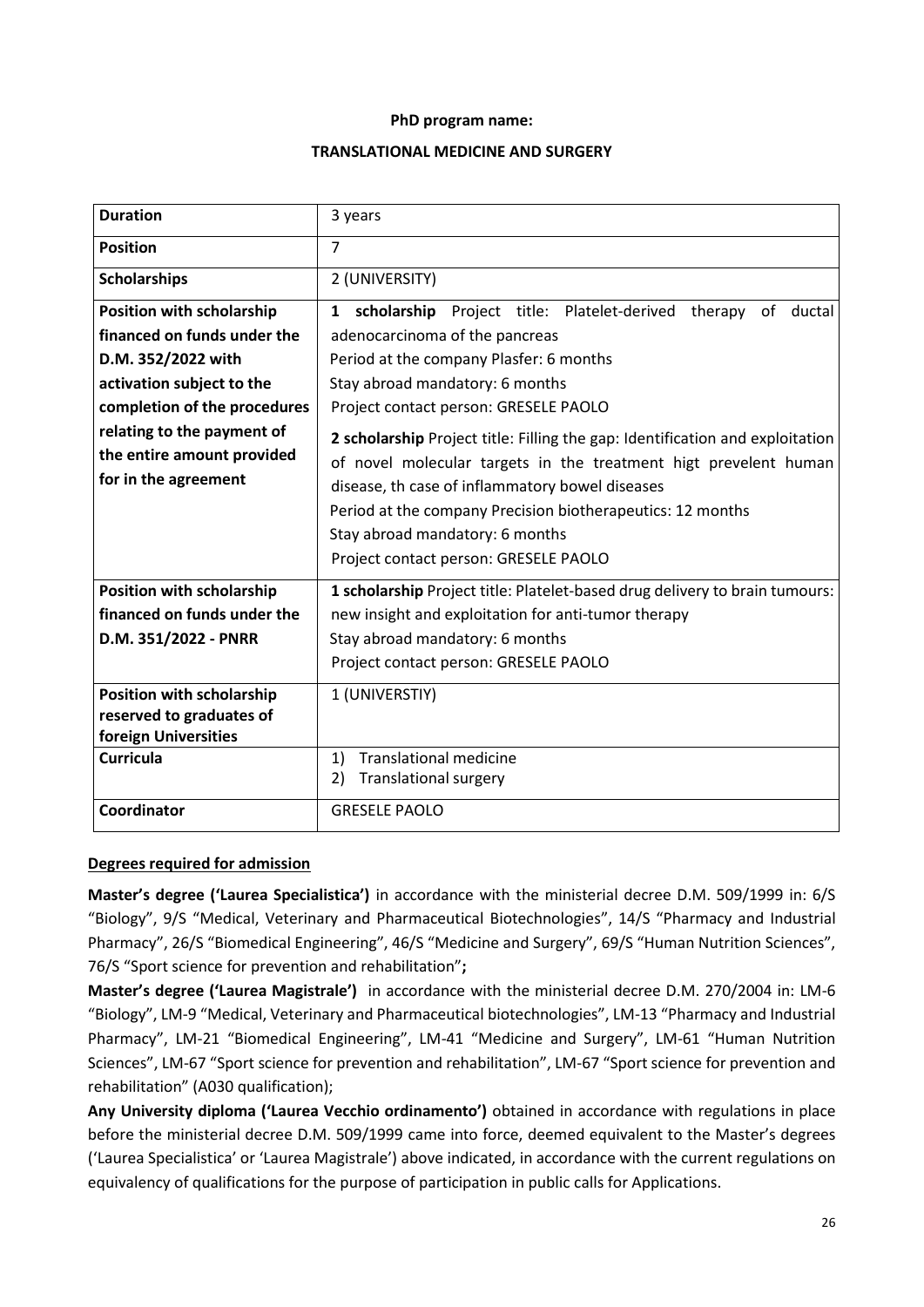#### **PhD program name:**

#### **TRANSLATIONAL MEDICINE AND SURGERY**

| <b>Duration</b>                  | 3 years                                                                       |
|----------------------------------|-------------------------------------------------------------------------------|
| <b>Position</b>                  | $\overline{7}$                                                                |
| <b>Scholarships</b>              | 2 (UNIVERSITY)                                                                |
| Position with scholarship        | Project title: Platelet-derived<br>1 scholarship<br>therapy<br>of<br>ductal   |
| financed on funds under the      | adenocarcinoma of the pancreas                                                |
| D.M. 352/2022 with               | Period at the company Plasfer: 6 months                                       |
| activation subject to the        | Stay abroad mandatory: 6 months                                               |
| completion of the procedures     | Project contact person: GRESELE PAOLO                                         |
| relating to the payment of       | 2 scholarship Project title: Filling the gap: Identification and exploitation |
| the entire amount provided       | of novel molecular targets in the treatment higt prevelent human              |
| for in the agreement             | disease, th case of inflammatory bowel diseases                               |
|                                  | Period at the company Precision biotherapeutics: 12 months                    |
|                                  | Stay abroad mandatory: 6 months                                               |
|                                  | Project contact person: GRESELE PAOLO                                         |
|                                  |                                                                               |
| Position with scholarship        | 1 scholarship Project title: Platelet-based drug delivery to brain tumours:   |
| financed on funds under the      | new insight and exploitation for anti-tumor therapy                           |
| D.M. 351/2022 - PNRR             | Stay abroad mandatory: 6 months                                               |
|                                  | Project contact person: GRESELE PAOLO                                         |
| <b>Position with scholarship</b> | 1 (UNIVERSTIY)                                                                |
| reserved to graduates of         |                                                                               |
| foreign Universities             |                                                                               |
| <b>Curricula</b>                 | <b>Translational medicine</b><br>1)                                           |
|                                  | <b>Translational surgery</b><br>2)                                            |
| Coordinator                      | <b>GRESELE PAOLO</b>                                                          |

### **Degrees required for admission**

**Master's degree ('Laurea Specialistica')** in accordance with the ministerial decree D.M. 509/1999 in: 6/S "Biology", 9/S "Medical, Veterinary and Pharmaceutical Biotechnologies", 14/S "Pharmacy and Industrial Pharmacy", 26/S "Biomedical Engineering", 46/S "Medicine and Surgery", 69/S "Human Nutrition Sciences", 76/S "Sport science for prevention and rehabilitation"**;** 

**Master's degree ('Laurea Magistrale')** in accordance with the ministerial decree D.M. 270/2004 in: LM-6 "Biology", LM-9 "Medical, Veterinary and Pharmaceutical biotechnologies", LM-13 "Pharmacy and Industrial Pharmacy", LM-21 "Biomedical Engineering", LM-41 "Medicine and Surgery", LM-61 "Human Nutrition Sciences", LM-67 "Sport science for prevention and rehabilitation", LM-67 "Sport science for prevention and rehabilitation" (A030 qualification);

**Any University diploma ('Laurea Vecchio ordinamento')** obtained in accordance with regulations in place before the ministerial decree D.M. 509/1999 came into force, deemed equivalent to the Master's degrees ('Laurea Specialistica' or 'Laurea Magistrale') above indicated, in accordance with the current regulations on equivalency of qualifications for the purpose of participation in public calls for Applications.